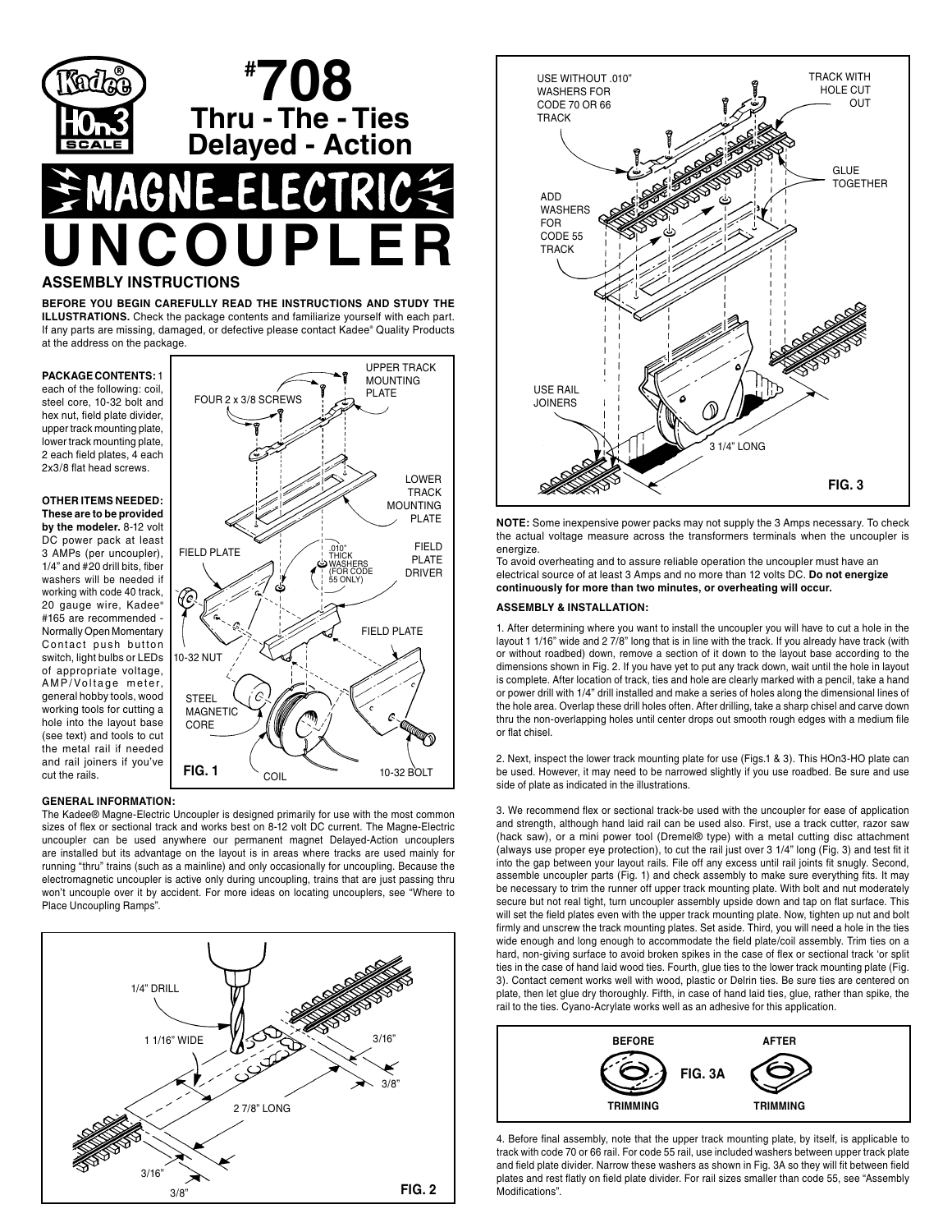

**BEFORE YOU BEGIN CAREFULLY READ THE INSTRUCTIONS AND STUDY THE ILLUSTRATIONS.** Check the package contents and familiarize yourself with each part. If any parts are missing, damaged, or defective please contact Kadee® Quality Products at the address on the package.

**PACKAGE CONTENTS:** 1 each of the following: coil, steel core, 10-32 bolt and hex nut, field plate divider, upper track mounting plate, lower track mounting plate, 2 each field plates, 4 each 2x3/8 flat head screws.

**OTHER ITEMS NEEDED: These are to be provided by the modeler.** 8-12 volt DC power pack at least 3 AMPs (per uncoupler), 1/4" and #20 drill bits, fiber washers will be needed if working with code 40 track, 20 gauge wire, Kadee® #165 are recommended - Normally Open Momentary Contact push button switch, light bulbs or LEDs of appropriate voltage, AMP/Voltage meter, general hobby tools, wood working tools for cutting a hole into the layout base (see text) and tools to cut the metal rail if needed and rail joiners if you've cut the rails.



# **GENERAL INFORMATION:**

The Kadee® Magne-Electric Uncoupler is designed primarily for use with the most common sizes of flex or sectional track and works best on 8-12 volt DC current. The Magne-Electric uncoupler can be used anywhere our permanent magnet Delayed-Action uncouplers are installed but its advantage on the layout is in areas where tracks are used mainly for running "thru" trains (such as a mainline) and only occasionally for uncoupling. Because the electromagnetic uncoupler is active only during uncoupling, trains that are just passing thru won't uncouple over it by accident. For more ideas on locating uncouplers, see "Where to Place Uncoupling Ramps".





**NOTE:** Some inexpensive power packs may not supply the 3 Amps necessary. To check the actual voltage measure across the transformers terminals when the uncoupler is energize.

To avoid overheating and to assure reliable operation the uncoupler must have an electrical source of at least 3 Amps and no more than 12 volts DC. **Do not energize continuously for more than two minutes, or overheating will occur.** 

### **ASSEMBLY & INSTALLATION:**

1. After determining where you want to install the uncoupler you will have to cut a hole in the layout 1 1/16" wide and 2 7/8" long that is in line with the track. If you already have track (with or without roadbed) down, remove a section of it down to the layout base according to the dimensions shown in Fig. 2. If you have yet to put any track down, wait until the hole in layout is complete. After location of track, ties and hole are clearly marked with a pencil, take a hand or power drill with 1/4" drill installed and make a series of holes along the dimensional lines of the hole area. Overlap these drill holes often. After drilling, take a sharp chisel and carve down thru the non-overlapping holes until center drops out smooth rough edges with a medium file or flat chisel.

2. Next, inspect the lower track mounting plate for use (Figs.1 & 3). This HOn3-HO plate can be used. However, it may need to be narrowed slightly if you use roadbed. Be sure and use side of plate as indicated in the illustrations.

3. We recommend flex or sectional track-be used with the uncoupler for ease of application and strength, although hand laid rail can be used also. First, use a track cutter, razor saw (hack saw), or a mini power tool (Dremel® type) with a metal cutting disc attachment (always use proper eye protection), to cut the rail just over 3 1/4" long (Fig. 3) and test fit it into the gap between your layout rails. File off any excess until rail joints fit snugly. Second, assemble uncoupler parts (Fig. 1) and check assembly to make sure everything fits. It may be necessary to trim the runner off upper track mounting plate. With bolt and nut moderately secure but not real tight, turn uncoupler assembly upside down and tap on flat surface. This will set the field plates even with the upper track mounting plate. Now, tighten up nut and bolt firmly and unscrew the track mounting plates. Set aside. Third, you will need a hole in the ties wide enough and long enough to accommodate the field plate/coil assembly. Trim ties on a hard, non-giving surface to avoid broken spikes in the case of flex or sectional track 'or split ties in the case of hand laid wood ties. Fourth, glue ties to the lower track mounting plate (Fig. 3). Contact cement works well with wood, plastic or Delrin ties. Be sure ties are centered on plate, then let glue dry thoroughly. Fifth, in case of hand laid ties, glue, rather than spike, the rail to the ties. Cyano-Acrylate works well as an adhesive for this application.



4. Before final assembly, note that the upper track mounting plate, by itself, is applicable to track with code 70 or 66 rail. For code 55 rail, use included washers between upper track plate and field plate divider. Narrow these washers as shown in Fig. 3A so they will fit between field plates and rest flatly on field plate divider. For rail sizes smaller than code 55, see "Assembly Modifications".